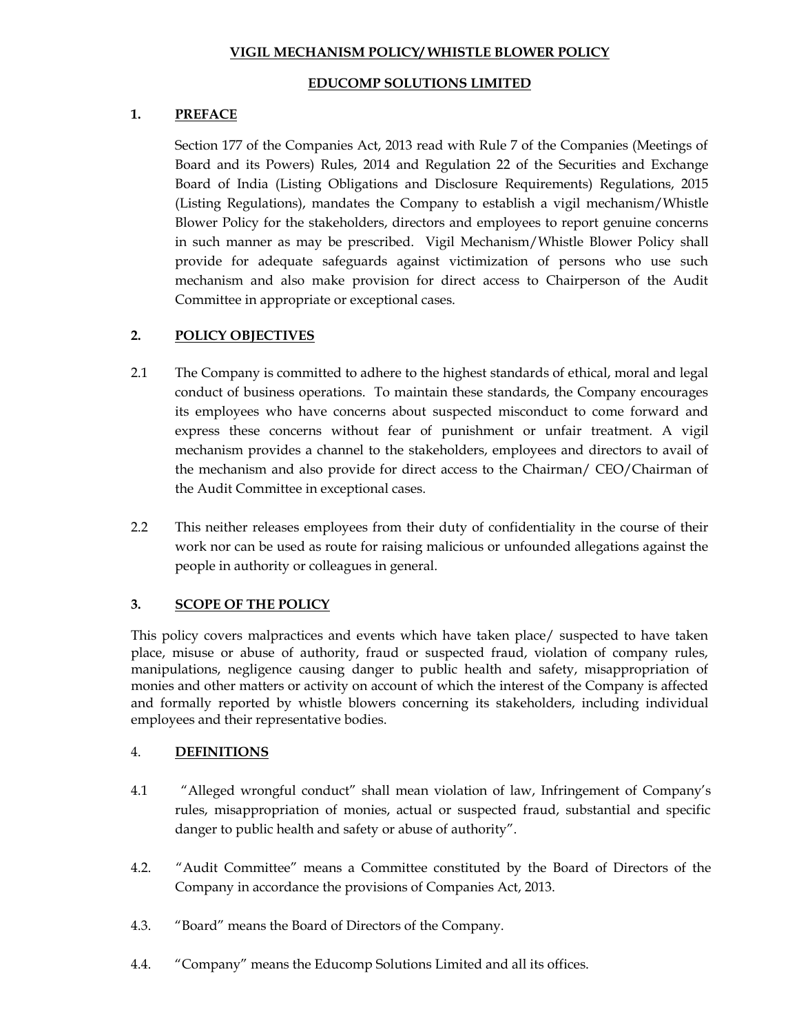### **VIGIL MECHANISM POLICY/ WHISTLE BLOWER POLICY**

### **EDUCOMP SOLUTIONS LIMITED**

## **1. PREFACE**

Section 177 of the Companies Act, 2013 read with Rule 7 of the Companies (Meetings of Board and its Powers) Rules, 2014 and Regulation 22 of the Securities and Exchange Board of India (Listing Obligations and Disclosure Requirements) Regulations, 2015 (Listing Regulations), mandates the Company to establish a vigil mechanism/Whistle Blower Policy for the stakeholders, directors and employees to report genuine concerns in such manner as may be prescribed. Vigil Mechanism/Whistle Blower Policy shall provide for adequate safeguards against victimization of persons who use such mechanism and also make provision for direct access to Chairperson of the Audit Committee in appropriate or exceptional cases.

# **2. POLICY OBJECTIVES**

- 2.1 The Company is committed to adhere to the highest standards of ethical, moral and legal conduct of business operations. To maintain these standards, the Company encourages its employees who have concerns about suspected misconduct to come forward and express these concerns without fear of punishment or unfair treatment. A vigil mechanism provides a channel to the stakeholders, employees and directors to avail of the mechanism and also provide for direct access to the Chairman/ CEO/Chairman of the Audit Committee in exceptional cases.
- 2.2 This neither releases employees from their duty of confidentiality in the course of their work nor can be used as route for raising malicious or unfounded allegations against the people in authority or colleagues in general.

# **3. SCOPE OF THE POLICY**

This policy covers malpractices and events which have taken place/ suspected to have taken place, misuse or abuse of authority, fraud or suspected fraud, violation of company rules, manipulations, negligence causing danger to public health and safety, misappropriation of monies and other matters or activity on account of which the interest of the Company is affected and formally reported by whistle blowers concerning its stakeholders, including individual employees and their representative bodies.

#### 4. **DEFINITIONS**

- 4.1 "Alleged wrongful conduct" shall mean violation of law, Infringement of Company's rules, misappropriation of monies, actual or suspected fraud, substantial and specific danger to public health and safety or abuse of authority".
- 4.2. "Audit Committee" means a Committee constituted by the Board of Directors of the Company in accordance the provisions of Companies Act, 2013.
- 4.3. "Board" means the Board of Directors of the Company.
- 4.4. "Company" means the Educomp Solutions Limited and all its offices.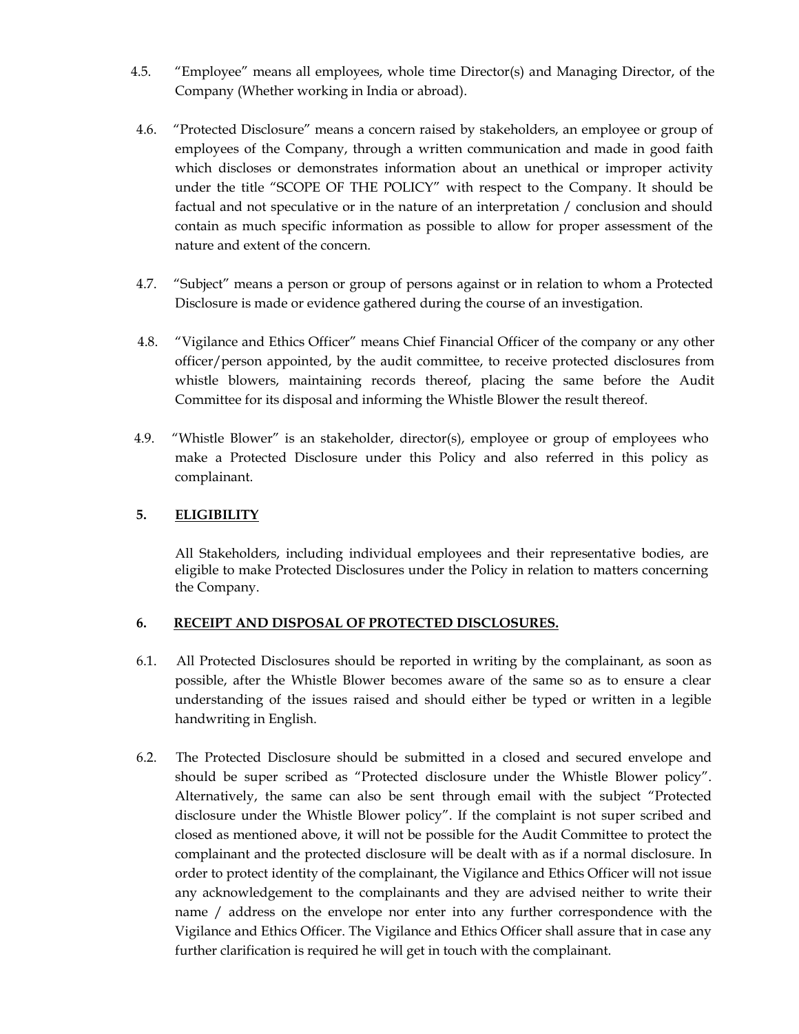- 4.5. "Employee" means all employees, whole time Director(s) and Managing Director, of the Company (Whether working in India or abroad).
- 4.6. "Protected Disclosure" means a concern raised by stakeholders, an employee or group of employees of the Company, through a written communication and made in good faith which discloses or demonstrates information about an unethical or improper activity under the title "SCOPE OF THE POLICY" with respect to the Company. It should be factual and not speculative or in the nature of an interpretation / conclusion and should contain as much specific information as possible to allow for proper assessment of the nature and extent of the concern.
- 4.7. "Subject" means a person or group of persons against or in relation to whom a Protected Disclosure is made or evidence gathered during the course of an investigation.
- 4.8. "Vigilance and Ethics Officer" means Chief Financial Officer of the company or any other officer/person appointed, by the audit committee, to receive protected disclosures from whistle blowers, maintaining records thereof, placing the same before the Audit Committee for its disposal and informing the Whistle Blower the result thereof.
- 4.9. "Whistle Blower" is an stakeholder, director(s), employee or group of employees who make a Protected Disclosure under this Policy and also referred in this policy as complainant.

# **5. ELIGIBILITY**

All Stakeholders, including individual employees and their representative bodies, are eligible to make Protected Disclosures under the Policy in relation to matters concerning the Company.

#### **6. RECEIPT AND DISPOSAL OF PROTECTED DISCLOSURES.**

- 6.1. All Protected Disclosures should be reported in writing by the complainant, as soon as possible, after the Whistle Blower becomes aware of the same so as to ensure a clear understanding of the issues raised and should either be typed or written in a legible handwriting in English.
- 6.2. The Protected Disclosure should be submitted in a closed and secured envelope and should be super scribed as "Protected disclosure under the Whistle Blower policy". Alternatively, the same can also be sent through email with the subject "Protected disclosure under the Whistle Blower policy". If the complaint is not super scribed and closed as mentioned above, it will not be possible for the Audit Committee to protect the complainant and the protected disclosure will be dealt with as if a normal disclosure. In order to protect identity of the complainant, the Vigilance and Ethics Officer will not issue any acknowledgement to the complainants and they are advised neither to write their name / address on the envelope nor enter into any further correspondence with the Vigilance and Ethics Officer. The Vigilance and Ethics Officer shall assure that in case any further clarification is required he will get in touch with the complainant.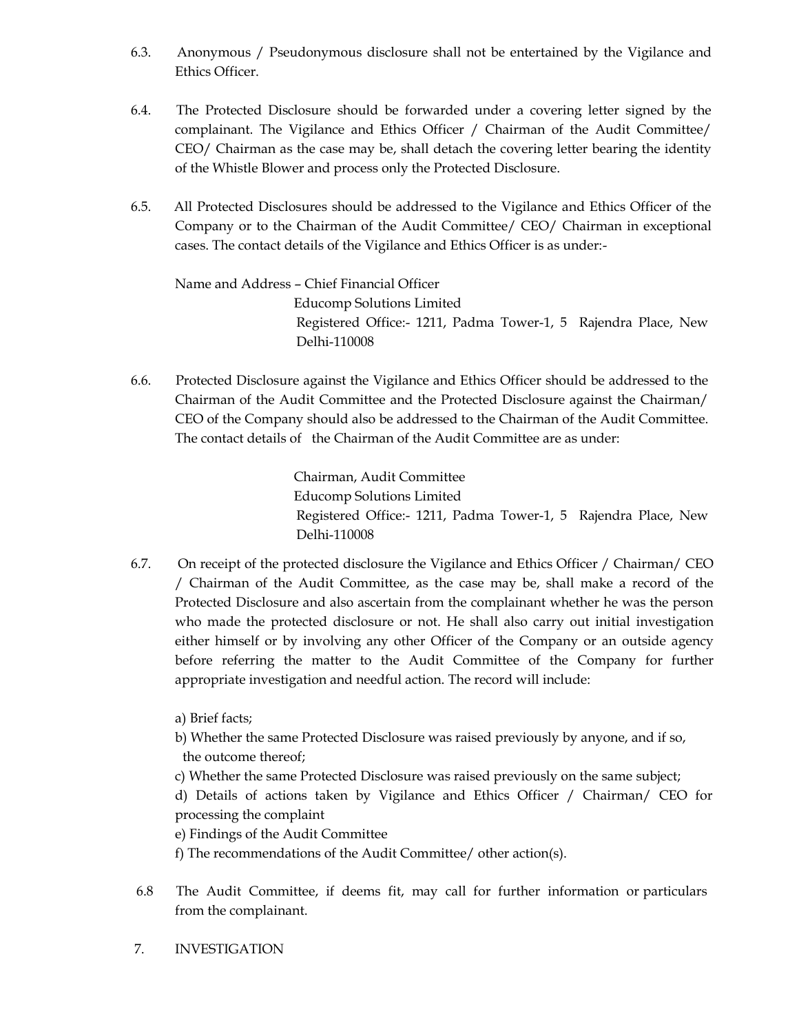- 6.3. Anonymous / Pseudonymous disclosure shall not be entertained by the Vigilance and Ethics Officer.
- 6.4. The Protected Disclosure should be forwarded under a covering letter signed by the complainant. The Vigilance and Ethics Officer / Chairman of the Audit Committee/ CEO/ Chairman as the case may be, shall detach the covering letter bearing the identity of the Whistle Blower and process only the Protected Disclosure.
- 6.5. All Protected Disclosures should be addressed to the Vigilance and Ethics Officer of the Company or to the Chairman of the Audit Committee/ CEO/ Chairman in exceptional cases. The contact details of the Vigilance and Ethics Officer is as under:-

Name and Address – Chief Financial Officer Educomp Solutions Limited Registered Office:- 1211, Padma Tower-1, 5 Rajendra Place, New Delhi-110008

6.6. Protected Disclosure against the Vigilance and Ethics Officer should be addressed to the Chairman of the Audit Committee and the Protected Disclosure against the Chairman/ CEO of the Company should also be addressed to the Chairman of the Audit Committee. The contact details of the Chairman of the Audit Committee are as under:

> Chairman, Audit Committee Educomp Solutions Limited Registered Office:- 1211, Padma Tower-1, 5 Rajendra Place, New Delhi-110008

6.7. On receipt of the protected disclosure the Vigilance and Ethics Officer / Chairman/ CEO / Chairman of the Audit Committee, as the case may be, shall make a record of the Protected Disclosure and also ascertain from the complainant whether he was the person who made the protected disclosure or not. He shall also carry out initial investigation either himself or by involving any other Officer of the Company or an outside agency before referring the matter to the Audit Committee of the Company for further appropriate investigation and needful action. The record will include:

a) Brief facts;

- b) Whether the same Protected Disclosure was raised previously by anyone, and if so, the outcome thereof;
- c) Whether the same Protected Disclosure was raised previously on the same subject;

d) Details of actions taken by Vigilance and Ethics Officer / Chairman/ CEO for processing the complaint

e) Findings of the Audit Committee

f) The recommendations of the Audit Committee/ other action(s).

- 6.8 The Audit Committee, if deems fit, may call for further information or particulars from the complainant.
- 7. INVESTIGATION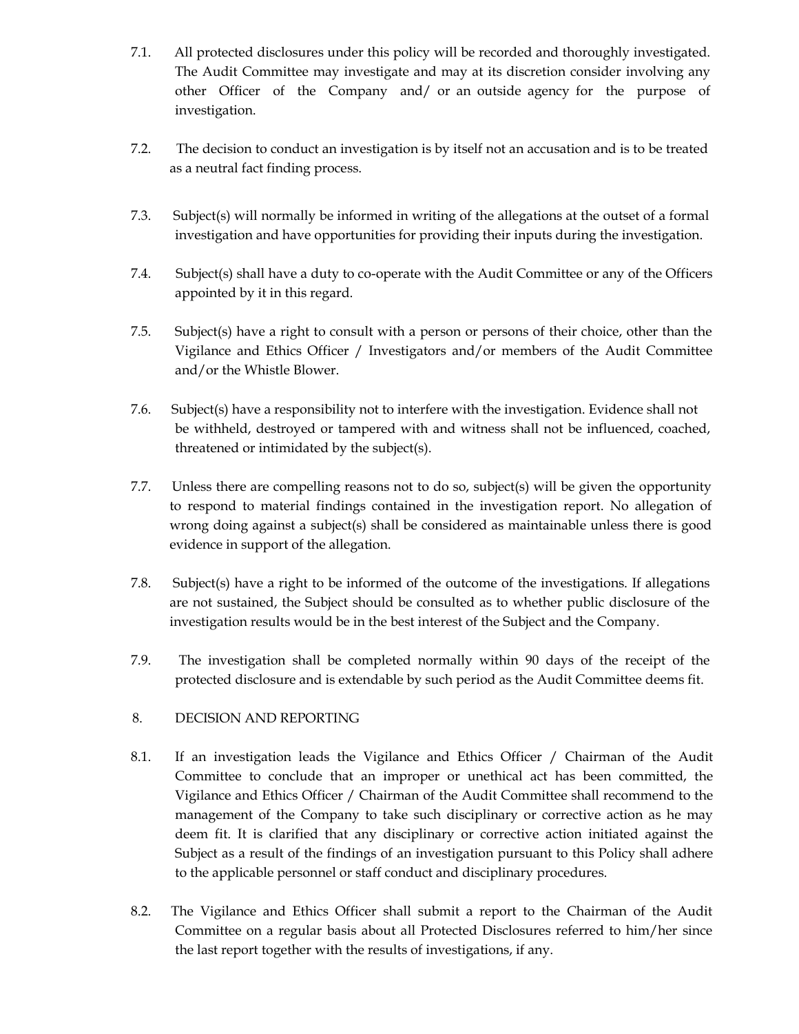- 7.1. All protected disclosures under this policy will be recorded and thoroughly investigated. The Audit Committee may investigate and may at its discretion consider involving any other Officer of the Company and/ or an outside agency for the purpose of investigation.
- 7.2. The decision to conduct an investigation is by itself not an accusation and is to be treated as a neutral fact finding process.
- 7.3. Subject(s) will normally be informed in writing of the allegations at the outset of a formal investigation and have opportunities for providing their inputs during the investigation.
- 7.4. Subject(s) shall have a duty to co-operate with the Audit Committee or any of the Officers appointed by it in this regard.
- 7.5. Subject(s) have a right to consult with a person or persons of their choice, other than the Vigilance and Ethics Officer / Investigators and/or members of the Audit Committee and/or the Whistle Blower.
- 7.6. Subject(s) have a responsibility not to interfere with the investigation. Evidence shall not be withheld, destroyed or tampered with and witness shall not be influenced, coached, threatened or intimidated by the subject(s).
- 7.7. Unless there are compelling reasons not to do so, subject(s) will be given the opportunity to respond to material findings contained in the investigation report. No allegation of wrong doing against a subject(s) shall be considered as maintainable unless there is good evidence in support of the allegation.
- 7.8. Subject(s) have a right to be informed of the outcome of the investigations. If allegations are not sustained, the Subject should be consulted as to whether public disclosure of the investigation results would be in the best interest of the Subject and the Company.
- 7.9. The investigation shall be completed normally within 90 days of the receipt of the protected disclosure and is extendable by such period as the Audit Committee deems fit.
- 8. DECISION AND REPORTING
- 8.1. If an investigation leads the Vigilance and Ethics Officer / Chairman of the Audit Committee to conclude that an improper or unethical act has been committed, the Vigilance and Ethics Officer / Chairman of the Audit Committee shall recommend to the management of the Company to take such disciplinary or corrective action as he may deem fit. It is clarified that any disciplinary or corrective action initiated against the Subject as a result of the findings of an investigation pursuant to this Policy shall adhere to the applicable personnel or staff conduct and disciplinary procedures.
- 8.2. The Vigilance and Ethics Officer shall submit a report to the Chairman of the Audit Committee on a regular basis about all Protected Disclosures referred to him/her since the last report together with the results of investigations, if any.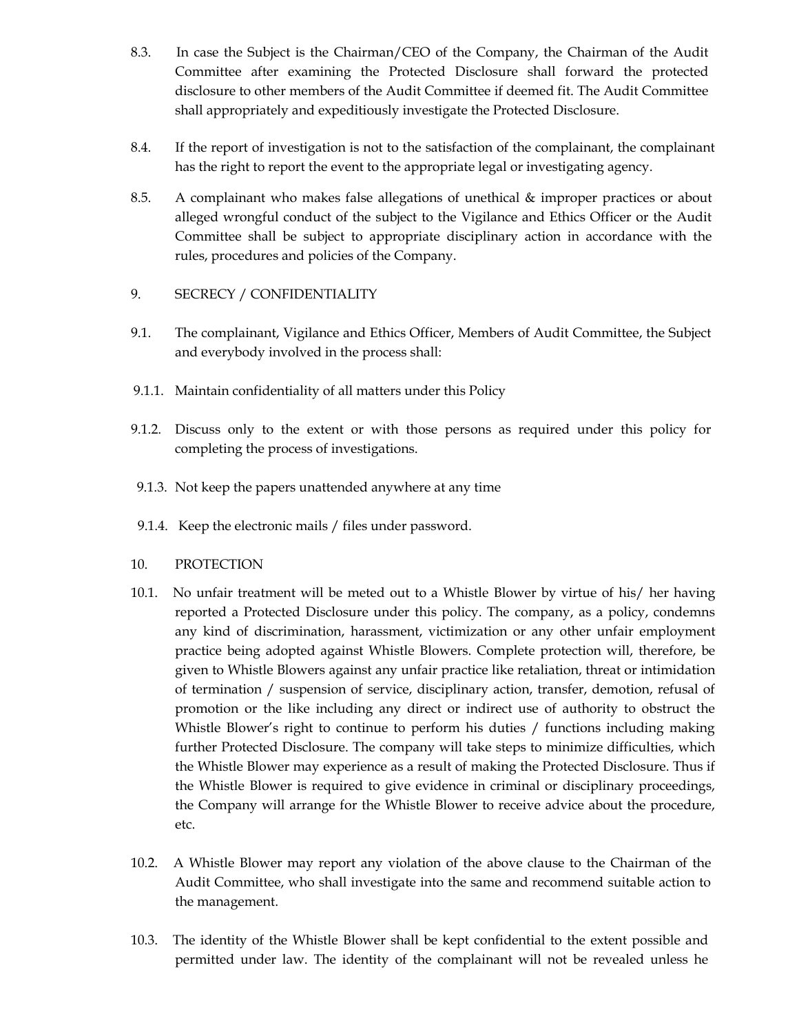- 8.3. In case the Subject is the Chairman/CEO of the Company, the Chairman of the Audit Committee after examining the Protected Disclosure shall forward the protected disclosure to other members of the Audit Committee if deemed fit. The Audit Committee shall appropriately and expeditiously investigate the Protected Disclosure.
- 8.4. If the report of investigation is not to the satisfaction of the complainant, the complainant has the right to report the event to the appropriate legal or investigating agency.
- 8.5. A complainant who makes false allegations of unethical & improper practices or about alleged wrongful conduct of the subject to the Vigilance and Ethics Officer or the Audit Committee shall be subject to appropriate disciplinary action in accordance with the rules, procedures and policies of the Company.
- 9. SECRECY / CONFIDENTIALITY
- 9.1. The complainant, Vigilance and Ethics Officer, Members of Audit Committee, the Subject and everybody involved in the process shall:
- 9.1.1. Maintain confidentiality of all matters under this Policy
- 9.1.2. Discuss only to the extent or with those persons as required under this policy for completing the process of investigations.
- 9.1.3. Not keep the papers unattended anywhere at any time
- 9.1.4. Keep the electronic mails / files under password.
- 10. PROTECTION
- 10.1. No unfair treatment will be meted out to a Whistle Blower by virtue of his/ her having reported a Protected Disclosure under this policy. The company, as a policy, condemns any kind of discrimination, harassment, victimization or any other unfair employment practice being adopted against Whistle Blowers. Complete protection will, therefore, be given to Whistle Blowers against any unfair practice like retaliation, threat or intimidation of termination / suspension of service, disciplinary action, transfer, demotion, refusal of promotion or the like including any direct or indirect use of authority to obstruct the Whistle Blower's right to continue to perform his duties / functions including making further Protected Disclosure. The company will take steps to minimize difficulties, which the Whistle Blower may experience as a result of making the Protected Disclosure. Thus if the Whistle Blower is required to give evidence in criminal or disciplinary proceedings, the Company will arrange for the Whistle Blower to receive advice about the procedure, etc.
- 10.2. A Whistle Blower may report any violation of the above clause to the Chairman of the Audit Committee, who shall investigate into the same and recommend suitable action to the management.
- 10.3. The identity of the Whistle Blower shall be kept confidential to the extent possible and permitted under law. The identity of the complainant will not be revealed unless he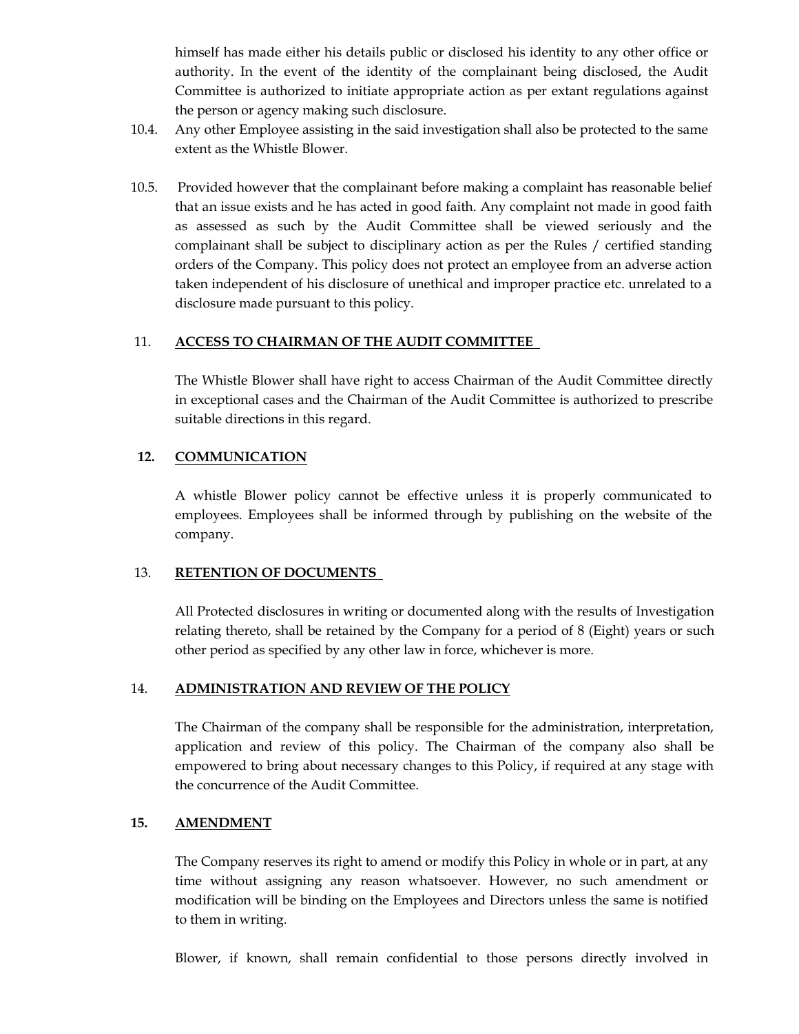himself has made either his details public or disclosed his identity to any other office or authority. In the event of the identity of the complainant being disclosed, the Audit Committee is authorized to initiate appropriate action as per extant regulations against the person or agency making such disclosure.

- 10.4. Any other Employee assisting in the said investigation shall also be protected to the same extent as the Whistle Blower.
- 10.5. Provided however that the complainant before making a complaint has reasonable belief that an issue exists and he has acted in good faith. Any complaint not made in good faith as assessed as such by the Audit Committee shall be viewed seriously and the complainant shall be subject to disciplinary action as per the Rules / certified standing orders of the Company. This policy does not protect an employee from an adverse action taken independent of his disclosure of unethical and improper practice etc. unrelated to a disclosure made pursuant to this policy.

## 11. **ACCESS TO CHAIRMAN OF THE AUDIT COMMITTEE**

The Whistle Blower shall have right to access Chairman of the Audit Committee directly in exceptional cases and the Chairman of the Audit Committee is authorized to prescribe suitable directions in this regard.

#### **12. COMMUNICATION**

A whistle Blower policy cannot be effective unless it is properly communicated to employees. Employees shall be informed through by publishing on the website of the company.

#### 13. **RETENTION OF DOCUMENTS**

All Protected disclosures in writing or documented along with the results of Investigation relating thereto, shall be retained by the Company for a period of 8 (Eight) years or such other period as specified by any other law in force, whichever is more.

#### 14. **ADMINISTRATION AND REVIEW OF THE POLICY**

The Chairman of the company shall be responsible for the administration, interpretation, application and review of this policy. The Chairman of the company also shall be empowered to bring about necessary changes to this Policy, if required at any stage with the concurrence of the Audit Committee.

#### **15. AMENDMENT**

The Company reserves its right to amend or modify this Policy in whole or in part, at any time without assigning any reason whatsoever. However, no such amendment or modification will be binding on the Employees and Directors unless the same is notified to them in writing.

Blower, if known, shall remain confidential to those persons directly involved in